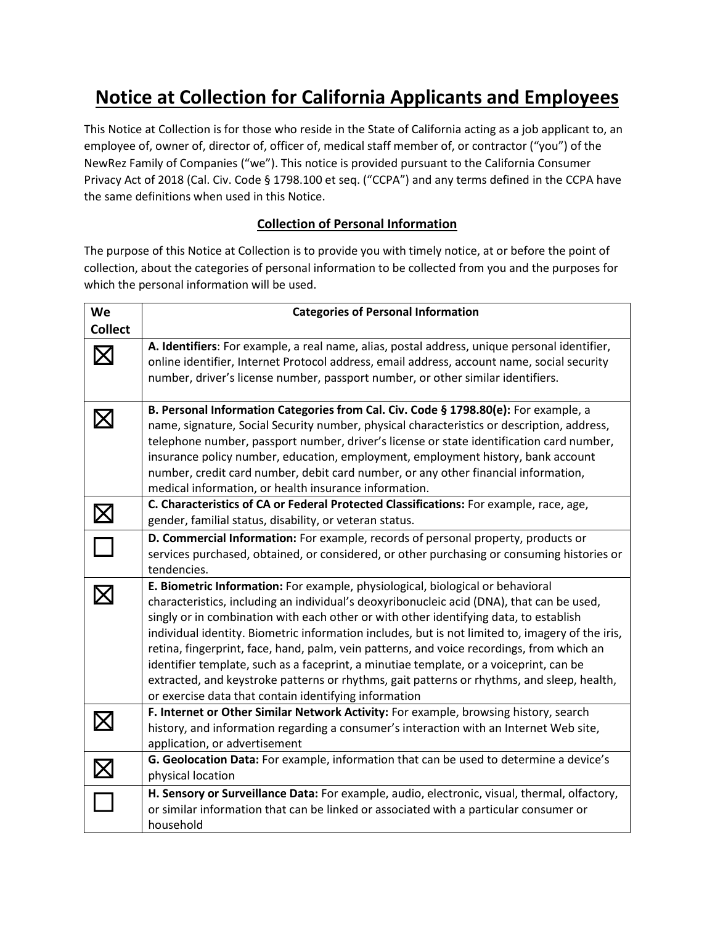# **Notice at Collection for California Applicants and Employees**

This Notice at Collection is for those who reside in the State of California acting as a job applicant to, an employee of, owner of, director of, officer of, medical staff member of, or contractor ("you") of the NewRez Family of Companies ("we"). This notice is provided pursuant to the California Consumer Privacy Act of 2018 (Cal. Civ. Code § 1798.100 et seq. ("CCPA") and any terms defined in the CCPA have the same definitions when used in this Notice.

## **Collection of Personal Information**

The purpose of this Notice at Collection is to provide you with timely notice, at or before the point of collection, about the categories of personal information to be collected from you and the purposes for which the personal information will be used.

| We                | <b>Categories of Personal Information</b>                                                                                                                                                                                                                                                                                                                                                                                                                                                                                                                                                                                                                                                                              |
|-------------------|------------------------------------------------------------------------------------------------------------------------------------------------------------------------------------------------------------------------------------------------------------------------------------------------------------------------------------------------------------------------------------------------------------------------------------------------------------------------------------------------------------------------------------------------------------------------------------------------------------------------------------------------------------------------------------------------------------------------|
| <b>Collect</b>    |                                                                                                                                                                                                                                                                                                                                                                                                                                                                                                                                                                                                                                                                                                                        |
|                   | A. Identifiers: For example, a real name, alias, postal address, unique personal identifier,<br>online identifier, Internet Protocol address, email address, account name, social security<br>number, driver's license number, passport number, or other similar identifiers.                                                                                                                                                                                                                                                                                                                                                                                                                                          |
|                   | B. Personal Information Categories from Cal. Civ. Code § 1798.80(e): For example, a<br>name, signature, Social Security number, physical characteristics or description, address,<br>telephone number, passport number, driver's license or state identification card number,<br>insurance policy number, education, employment, employment history, bank account<br>number, credit card number, debit card number, or any other financial information,<br>medical information, or health insurance information.                                                                                                                                                                                                       |
|                   | C. Characteristics of CA or Federal Protected Classifications: For example, race, age,<br>gender, familial status, disability, or veteran status.                                                                                                                                                                                                                                                                                                                                                                                                                                                                                                                                                                      |
|                   | D. Commercial Information: For example, records of personal property, products or<br>services purchased, obtained, or considered, or other purchasing or consuming histories or<br>tendencies.                                                                                                                                                                                                                                                                                                                                                                                                                                                                                                                         |
|                   | E. Biometric Information: For example, physiological, biological or behavioral<br>characteristics, including an individual's deoxyribonucleic acid (DNA), that can be used,<br>singly or in combination with each other or with other identifying data, to establish<br>individual identity. Biometric information includes, but is not limited to, imagery of the iris,<br>retina, fingerprint, face, hand, palm, vein patterns, and voice recordings, from which an<br>identifier template, such as a faceprint, a minutiae template, or a voiceprint, can be<br>extracted, and keystroke patterns or rhythms, gait patterns or rhythms, and sleep, health,<br>or exercise data that contain identifying information |
| $\bm{\mathsf{X}}$ | F. Internet or Other Similar Network Activity: For example, browsing history, search<br>history, and information regarding a consumer's interaction with an Internet Web site,<br>application, or advertisement                                                                                                                                                                                                                                                                                                                                                                                                                                                                                                        |
|                   | G. Geolocation Data: For example, information that can be used to determine a device's<br>physical location                                                                                                                                                                                                                                                                                                                                                                                                                                                                                                                                                                                                            |
|                   | H. Sensory or Surveillance Data: For example, audio, electronic, visual, thermal, olfactory,<br>or similar information that can be linked or associated with a particular consumer or<br>household                                                                                                                                                                                                                                                                                                                                                                                                                                                                                                                     |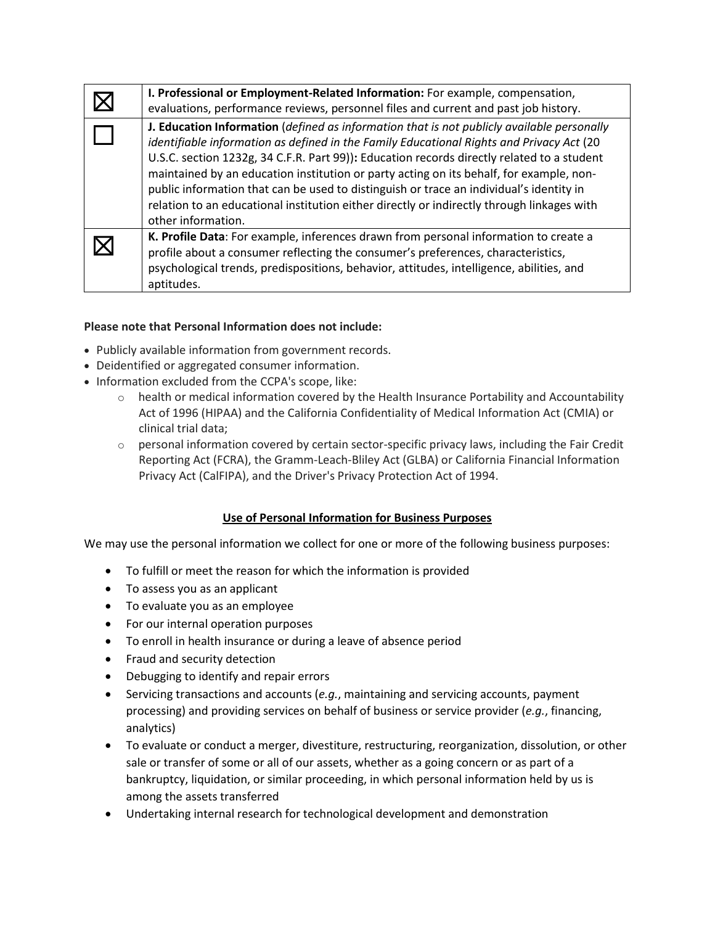| I. Professional or Employment-Related Information: For example, compensation,<br>evaluations, performance reviews, personnel files and current and past job history.                                                                                                                                                                                                                                                                                                                                                                                                                           |
|------------------------------------------------------------------------------------------------------------------------------------------------------------------------------------------------------------------------------------------------------------------------------------------------------------------------------------------------------------------------------------------------------------------------------------------------------------------------------------------------------------------------------------------------------------------------------------------------|
| J. Education Information (defined as information that is not publicly available personally<br>identifiable information as defined in the Family Educational Rights and Privacy Act (20<br>U.S.C. section 1232g, 34 C.F.R. Part 99)): Education records directly related to a student<br>maintained by an education institution or party acting on its behalf, for example, non-<br>public information that can be used to distinguish or trace an individual's identity in<br>relation to an educational institution either directly or indirectly through linkages with<br>other information. |
| K. Profile Data: For example, inferences drawn from personal information to create a<br>profile about a consumer reflecting the consumer's preferences, characteristics,<br>psychological trends, predispositions, behavior, attitudes, intelligence, abilities, and<br>aptitudes.                                                                                                                                                                                                                                                                                                             |

#### **Please note that Personal Information does not include:**

- Publicly available information from government records.
- Deidentified or aggregated consumer information.
- Information excluded from the CCPA's scope, like:
	- $\circ$  health or medical information covered by the Health Insurance Portability and Accountability Act of 1996 (HIPAA) and the California Confidentiality of Medical Information Act (CMIA) or clinical trial data;
	- $\circ$  personal information covered by certain sector-specific privacy laws, including the Fair Credit Reporting Act (FCRA), the Gramm-Leach-Bliley Act (GLBA) or California Financial Information Privacy Act (CalFIPA), and the Driver's Privacy Protection Act of 1994.

### **Use of Personal Information for Business Purposes**

We may use the personal information we collect for one or more of the following business purposes:

- To fulfill or meet the reason for which the information is provided
- To assess you as an applicant
- To evaluate you as an employee
- For our internal operation purposes
- To enroll in health insurance or during a leave of absence period
- Fraud and security detection
- Debugging to identify and repair errors
- Servicing transactions and accounts (*e.g.*, maintaining and servicing accounts, payment processing) and providing services on behalf of business or service provider (*e.g.*, financing, analytics)
- To evaluate or conduct a merger, divestiture, restructuring, reorganization, dissolution, or other sale or transfer of some or all of our assets, whether as a going concern or as part of a bankruptcy, liquidation, or similar proceeding, in which personal information held by us is among the assets transferred
- Undertaking internal research for technological development and demonstration